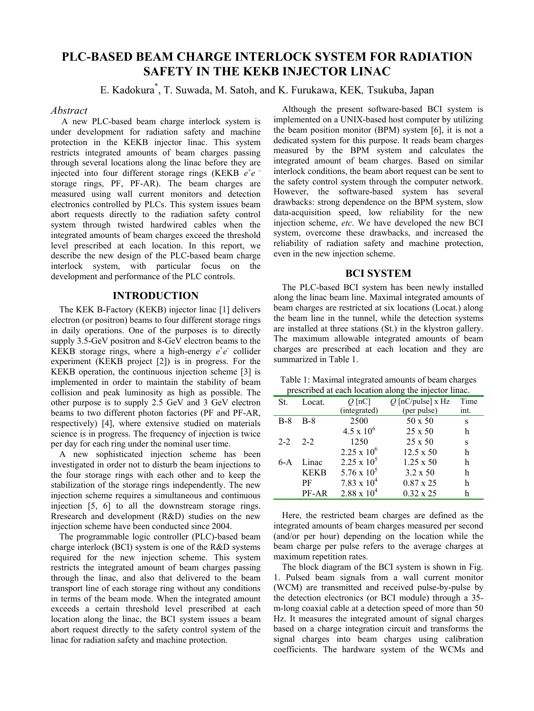# **PLC-BASED BEAM CHARGE INTERLOCK SYSTEM FOR RADIATION SAFETY IN THE KEKB INJECTOR LINAC**

E. Kadokura\* , T. Suwada, M. Satoh, and K. Furukawa, KEK*,* Tsukuba, Japan

### *Abstract*

 A new PLC-based beam charge interlock system is under development for radiation safety and machine protection in the KEKB injector linac. This system restricts integrated amounts of beam charges passing through several locations along the linac before they are injected into four different storage rings (KEKB  $e^+e^$ storage rings, PF, PF-AR). The beam charges are measured using wall current monitors and detection electronics controlled by PLCs. This system issues beam abort requests directly to the radiation safety control system through twisted hardwired cables when the integrated amounts of beam charges exceed the threshold level prescribed at each location. In this report, we describe the new design of the PLC-based beam charge interlock system, with particular focus on the development and performance of the PLC controls.

# **INTRODUCTION**

The KEK B-Factory (KEKB) injector linac [1] delivers electron (or positron) beams to four different storage rings in daily operations. One of the purposes is to directly supply 3.5-GeV positron and 8-GeV electron beams to the KEKB storage rings, where a high-energy  $e^+e^-$  collider experiment (KEKB project [2]) is in progress. For the KEKB operation, the continuous injection scheme [3] is implemented in order to maintain the stability of beam collision and peak luminosity as high as possible. The other purpose is to supply 2.5 GeV and 3 GeV electron beams to two different photon factories (PF and PF-AR, respectively) [4], where extensive studied on materials science is in progress. The frequency of injection is twice per day for each ring under the nominal user time.

A new sophisticated injection scheme has been investigated in order not to disturb the beam injections to the four storage rings with each other and to keep the stabilization of the storage rings independently. The new injection scheme requires a simultaneous and continuous injection [5, 6] to all the downstream storage rings. Rresearch and development (R&D) studies on the new injection scheme have been conducted since 2004.

The programmable logic controller (PLC)-based beam charge interlock (BCI) system is one of the R&D systems required for the new injection scheme. This system restricts the integrated amount of beam charges passing through the linac, and also that delivered to the beam transport line of each storage ring without any conditions in terms of the beam mode. When the integrated amount exceeds a certain threshold level prescribed at each location along the linac, the BCI system issues a beam abort request directly to the safety control system of the linac for radiation safety and machine protection.

Although the present software-based BCI system is implemented on a UNIX-based host computer by utilizing the beam position monitor (BPM) system [6], it is not a dedicated system for this purpose. It reads beam charges measured by the BPM system and calculates the integrated amount of beam charges. Based on similar interlock conditions, the beam abort request can be sent to the safety control system through the computer network. However, the software-based system has several drawbacks: strong dependence on the BPM system, slow data-acquisition speed, low reliability for the new injection scheme, *etc*. We have developed the new BCI system, overcome these drawbacks, and increased the reliability of radiation safety and machine protection, even in the new injection scheme.

## **BCI SYSTEM**

The PLC-based BCI system has been newly installed along the linac beam line. Maximal integrated amounts of beam charges are restricted at six locations (Locat.) along the beam line in the tunnel, while the detection systems are installed at three stations (St.) in the klystron gallery. The maximum allowable integrated amounts of beam charges are prescribed at each location and they are summarized in Table 1.

Table 1: Maximal integrated amounts of beam charges prescribed at each location along the injector linac.

| presended at each focation along the injector final. |             |                      |                     |      |
|------------------------------------------------------|-------------|----------------------|---------------------|------|
| St.                                                  | Locat.      | $Q$ [nC]             | $Q$ [nC/pulse] x Hz | Time |
|                                                      |             | (integrated)         | (per pulse)         | int. |
| $B-8$                                                | $B-8$       | 2500                 | 50 x 50             | S    |
|                                                      |             | $4.5 \times 10^{6}$  | $25 \times 50$      | h    |
| $2 - 2$                                              | $2 - 2$     | 1250                 | $25 \times 50$      | S    |
|                                                      |             | $2.25 \times 10^6$   | $12.5 \times 50$    | h    |
| 6-A                                                  | Linac       | $2.25 \times 10^5$   | $1.25 \times 50$    | h    |
|                                                      | <b>KEKB</b> | 5.76 x $10^5$        | 3.2 x 50            | h    |
|                                                      | РF          | $7.83 \times 10^4$   | $0.87 \times 25$    | h    |
|                                                      | PF-AR       | $2.88 \times 10^{4}$ | $0.32 \times 25$    | h    |

Here, the restricted beam charges are defined as the integrated amounts of beam charges measured per second (and/or per hour) depending on the location while the beam charge per pulse refers to the average charges at maximum repetition rates.

The block diagram of the BCI system is shown in Fig. 1. Pulsed beam signals from a wall current monitor (WCM) are transmitted and received pulse-by-pulse by the detection electronics (or BCI module) through a 35 m-long coaxial cable at a detection speed of more than 50 Hz. It measures the integrated amount of signal charges based on a charge integration circuit and transforms the signal charges into beam charges using calibration coefficients. The hardware system of the WCMs and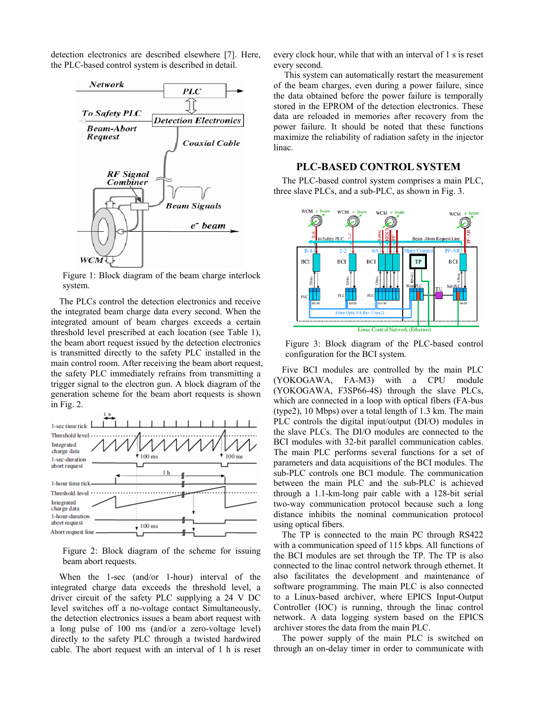detection electronics are described elsewhere [7]. Here, the PLC-based control system is described in detail.



Figure 1: Block diagram of the beam charge interlock system.

The PLCs control the detection electronics and receive the integrated beam charge data every second. When the integrated amount of beam charges exceeds a certain threshold level prescribed at each location (see Table 1), the beam abort request issued by the detection electronics is transmitted directly to the safety PLC installed in the main control room. After receiving the beam abort request, the safety PLC immediately refrains from transmitting a trigger signal to the electron gun. A block diagram of the generation scheme for the beam abort requests is shown in Fig. 2.



Figure 2: Block diagram of the scheme for issuing beam abort requests.

When the 1-sec (and/or 1-hour) interval of the integrated charge data exceeds the threshold level, a driver circuit of the safety PLC supplying a 24 V DC level switches off a no-voltage contact Simultaneously, the detection electronics issues a beam abort request with a long pulse of 100 ms (and/or a zero-voltage level) directly to the safety PLC through a twisted hardwired cable. The abort request with an interval of 1 h is reset every clock hour, while that with an interval of 1 s is reset every second.

 This system can automatically restart the measurement of the beam charges, even during a power failure, since the data obtained before the power failure is temporally stored in the EPROM of the detection electronics. These data are reloaded in memories after recovery from the power failure. It should be noted that these functions maximize the reliability of radiation safety in the injector linac.

#### **PLC-BASED CONTROL SYSTEM**

The PLC-based control system comprises a main PLC, three slave PLCs, and a sub-PLC, as shown in Fig. 3.



Figure 3: Block diagram of the PLC-based control configuration for the BCI system.

Five BCI modules are controlled by the main PLC (YOKOGAWA, FA-M3) with a CPU module (YOKOGAWA, F3SP66-4S) through the slave PLCs, which are connected in a loop with optical fibers (FA-bus (type2), 10 Mbps) over a total length of 1.3 km. The main PLC controls the digital input/output (DI/O) modules in the slave PLCs. The DI/O modules are connected to the BCI modules with 32-bit parallel communication cables. The main PLC performs several functions for a set of parameters and data acquisitions of the BCI modules. The sub-PLC controls one BCI module. The communication between the main PLC and the sub-PLC is achieved through a 1.1-km-long pair cable with a 128-bit serial two-way communication protocol because such a long distance inhibits the nominal communication protocol using optical fibers.

The TP is connected to the main PC through RS422 with a communication speed of 115 kbps. All functions of the BCI modules are set through the TP. The TP is also connected to the linac control network through ethernet. It also facilitates the development and maintenance of software programming. The main PLC is also connected to a Linux-based archiver, where EPICS Input-Output Controller (IOC) is running, through the linac control network. A data logging system based on the EPICS archiver stores the data from the main PLC.

The power supply of the main PLC is switched on through an on-delay timer in order to communicate with